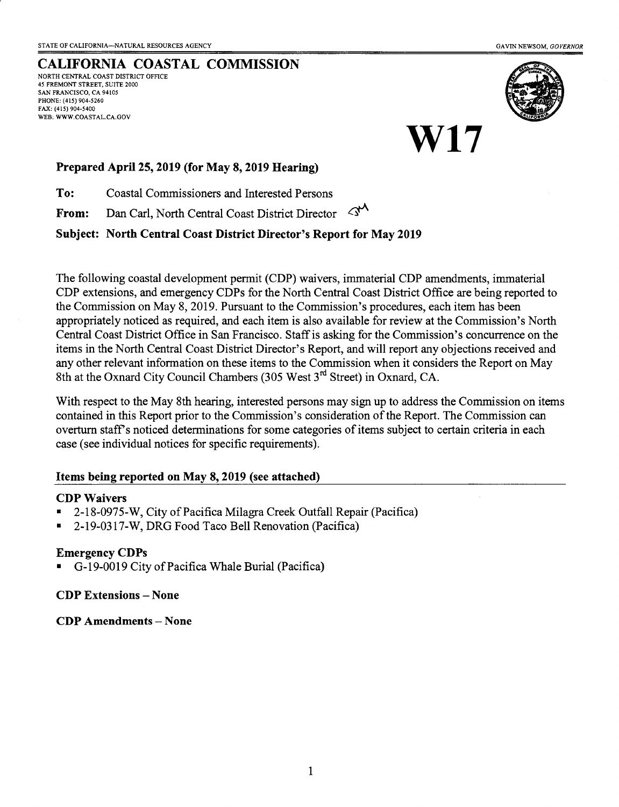### CALIFORNIA COASTAL COMMISSION

NORTH CENTRAL COAST DISTRICT OFFICE 45 FREMONT STREET, SUITE 2OOO SAN FRANCISCO, CA 94105 PHONE: (415) 904-5260 FAx: (415) 904-5400 WEB: WWW.COASTAL.CA.GOV



W17

#### Prepared April 25, 2019 (for May 8, 2019 Hearing)

To: Coastal Commissioners and Interested Persons

From: Dan Carl, North Central Coast District Director  $\leq^{\mathcal{N}}$ 

#### Subject: North Central Coast District Director's Report for May 2019

The following coastal development permit (CDP) waivers, immaterial CDP amendments, immaterial CDP extensions, and emergency CDPs for the North Central Coast District Office are being reported to the Commission on May 8, 2019. Pursuant to the Commission's procedures, each item has been appropriately noticed as required, and each item is also available for review at the Commission's North Central Coast Disfrict Office in San Francisco. Staffis asking for the Commission's concurrence on the items in the North Central Coast District Director's Report, and will report any objections received and any other relevant information on these items to the Commission when it considers the Report on May 8th at the Oxnard City Council Chambers (305 West  $3<sup>rd</sup>$  Street) in Oxnard, CA.

With respect to the May 8th hearing, interested persons may sign up to address the Commission on items contained in this Report prior to the Commission's consideration of the Report. The Commission can overturn staff's noticed determinations for some categories of items subject to certain criteria in each case (see individual notices for specific requirements).

#### Items being reported on May 8, 2019 (see attached)

#### **CDP Waivers**

- . 2-18-0975-W, City of Pacifica Milagra Creek Outfall Repair (Pacifica)
- . 2-19-0317-W, DRG Food Taco Bell Renovation (Pacifica)

#### Emergency CDPs

. G-19-0019 City of Pacifica Whale Burial (Pacifica)

#### CDP Extensions -None

CDP Amendments - None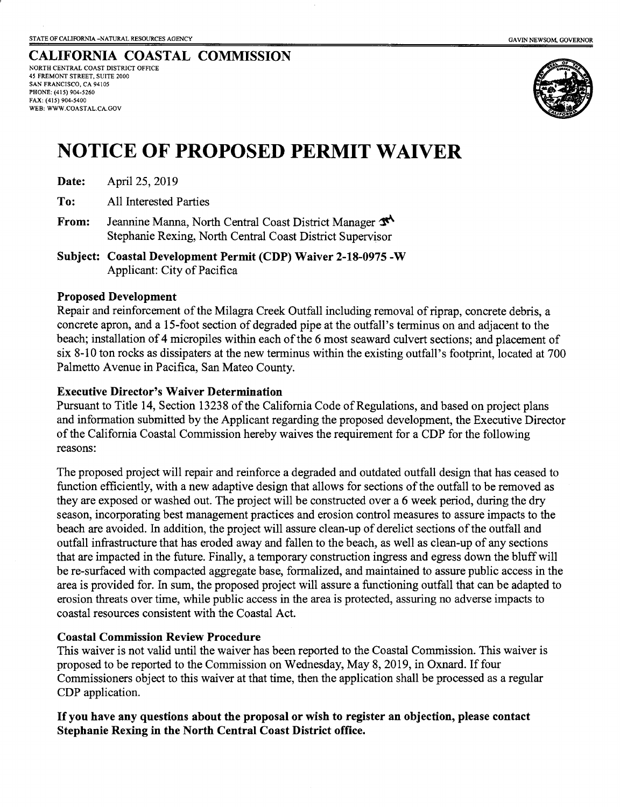#### CALIFORNIA COASTAL COMMISSION NORTH CENTRAL COAST DISTRJCT OFFICE 45 FREMONT STREET, SUITE 2OOO SAN FRANCISCO, CA 94105 PHONE: (415) 904-5260 FAX: (415) 904-5400 WEB: WWW.COASTAL.CA.GOV



# NOTICE OF PROPOSED PERMIT WATVER

|  | Date: | April 25, 2019 |
|--|-------|----------------|
|--|-------|----------------|

To: All Interested Parties

- From: Jeannine Manna, North Central Coast District Manager  $\mathcal{F}^{\mathcal{A}}$ Stephanie Rexing, North Central Coast District Supervisor
- Subject: Coastal Development Permit (CDP) Waiver 2-18-0975 -W Applicant: City of Pacifica

#### Proposed Development

Repair and reinforcement of the Milagra Creek Outfall including removal of riprap, concrete debris, a concrete apron, and a l5-foot section of degraded pipe at the outfall's terminus on and adjacent to the beach; installation of 4 micropiles within each of the 6 most seaward culvert sections; and placement of six 8-10 ton rocks as dissipaters at the new terminus within the existing outfall's footprint, located at 700 Palmetto Avenue in Pacifica, San Mateo County.

#### Executive Director's Waiver Determination

Pursuant to Title 14, Section 13238 of the Califomia Code of Regulations, and based on project plans and information submitted by the Applicant regarding the proposed development, the Executive Director of the Califomia Coastal Commission hereby waives the requirernent for a CDP for the following reasons:

The proposed project will repair and reinforce a degraded and outdated outfall design that has ceased to function efficiently, with a new adaptive design that allows for sections of the outfall to be removed as they are exposed or washed out. The project will be constructed over a 6 week period, during the dry season, incorporating best management practices and erosion contol measures to assure impacts to the beach are avoided. In addition, the project will assure clean-up of derelict sections of the outfall and outfall infrastructure that has eroded away and fallen to the beach, as well as clean-up of any sections that are impacted in the future. Finally, a temporary construction ingress and egress down the bluff will be re-surfaced with compacted aggregate base, formalized, and maintained to assure public access in the area is provided for. In sum, the proposed project will assure a functioning outfall that can be adapted to erosion threats over time, while public access in the area is protected, assuring no adverse impacts to coastal resources consistent with the Coastal Act.

#### Coastal Commission Review Procedure

This waiver is not valid until the waiver has been reported to the Coastal Commission. This waiver is proposed to be reported to the Commission on Wednesday, May 8, 2019, in Oxnard. If four Commissioners object to this waiver at that time, then the application shall be processed as a regular CDP application.

#### If you have any questions about the proposal or wish to register an objection, please contact Stephanie Rexing in the North Central Coast District office.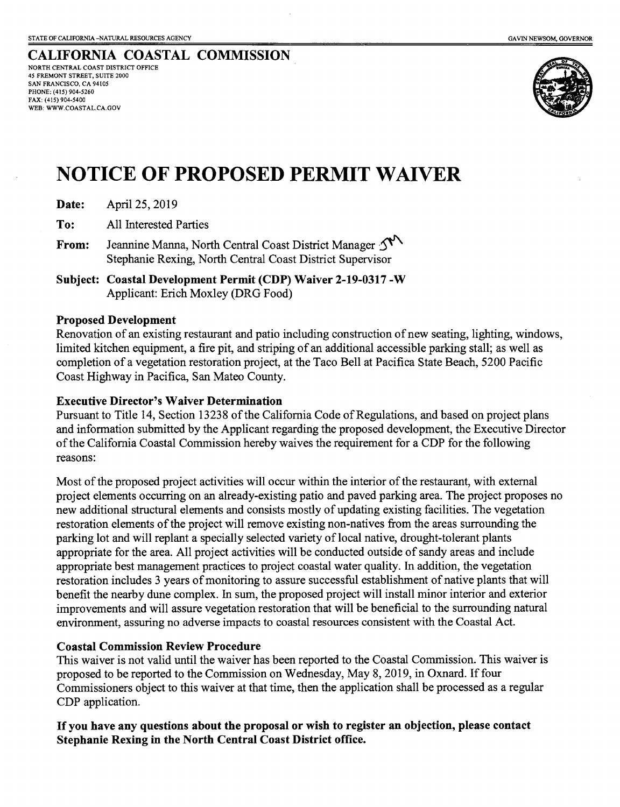CALIFORNIA COASTAL COMMISSION NORTH CENTRAL COAST DISTRICT OFFICE 45 FREMONT STREET, SUITE 2OOO SAN FRANCISCO, CA 94105 PHONE: (415) 904-5260 FAX: (415) 904-5400 WEB: WWW.COASTAL.CA.GOV



# NOTICE OF PROPOSED PERMIT WATVER

| April 25, 2019<br>Date: |
|-------------------------|
|-------------------------|

To: All Interested Parties

- From: Jeannine Manna, North Central Coast District Manager  $\mathcal{S}^{\mathcal{N}}$ Stephanie Rexing, North Central Coast District Supervisor
- Subject: Coastal Development Permit (CDP) Waiver 2-19-0317 -W Applicant: Erich Moxley (DRG Food)

#### Proposed Development

Renovation of an existing restaurant and patio including construction of new seating, lighting, windows, limited kitchen equipment, a fire pit, and striping of an additional accessible parking stall; as well as completion of a vegetation restoration project, at the Taco Bell at Pacifica State Beach, 5200 Pacific Coast Highway in Pacifica, San Mateo County.

#### Executive Director's Waiver Determination

Pursuant to Title 14, Section 13238 of the California Code of Regulations, and based on project plans and information submitted by the Applicant regarding the proposed development, the Executive Director of the California Coastal Commission hereby waives the requirement for a CDP for the following reasons:

Most of the proposed project activities will occur within the interior of the restaurant, with external project elements occurring on an already-existing patio and paved parking area. The project proposes no new additional structural elements and consists mostly of updating existing facilities. The vegetation restoration elements of the project will remove existing non-natives from the areas surrounding the parking lot and will replant a specially selected variety of local native, drought-tolerant plants appropriate for the area. All project activities will be conducted outside of sandy areas and include appropriate best management practices to project coastal water quality. In addition, the vegetation restoration includes 3 years of monitoring to assure successful establishment of native plants that will benefit the nearby dune complex. In sum, the proposed project will install minor interior and exterior improvements and will assure vegetation restoration that will be beneficial to the surrounding natural environment, assuring no adverse impacts to coastal resources consistent with the Coastal Act.

#### Coastal Commission Review Procedure

This waiver is not valid until the waiver has been reported to the Coastal Commission. This waiver is proposed to be reported to the Commission on Wednesday, May 8, 2019, in Oxnard. If four Commissioners object to this waiver at that time, then the application shall be processed as a regular CDP application.

#### If you have any questions about the proposal or wish to register an objection, please contact Stephanie Rexing in the North Central Coast District office.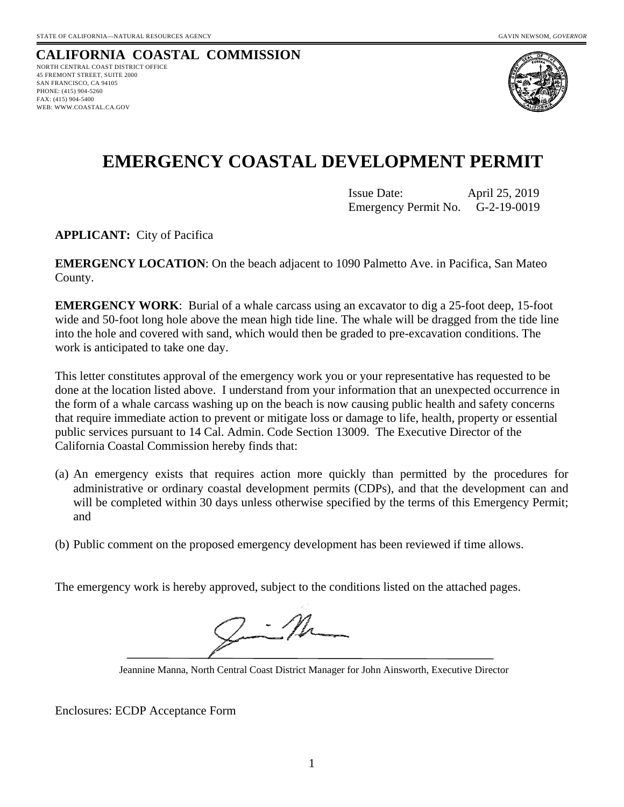#### **CALIFORNIA COASTAL COMMISSION** NORTH CENTRAL COAST DISTRICT OFFICE 45 FREMONT STREET, SUITE 2000 SAN FRANCISCO, CA 94105 PHONE: (415) 904-5260 FAX: (415) 904-5400 WEB: WWW.COASTAL.CA.GOV



## **EMERGENCY COASTAL DEVELOPMENT PERMIT**

Issue Date: April 25, 2019 Emergency Permit No. G-2-19-0019

**APPLICANT:** City of Pacifica

**EMERGENCY LOCATION**: On the beach adjacent to 1090 Palmetto Ave. in Pacifica, San Mateo County.

**EMERGENCY WORK**: Burial of a whale carcass using an excavator to dig a 25-foot deep, 15-foot wide and 50-foot long hole above the mean high tide line. The whale will be dragged from the tide line into the hole and covered with sand, which would then be graded to pre-excavation conditions. The work is anticipated to take one day.

This letter constitutes approval of the emergency work you or your representative has requested to be done at the location listed above. I understand from your information that an unexpected occurrence in the form of a whale carcass washing up on the beach is now causing public health and safety concerns that require immediate action to prevent or mitigate loss or damage to life, health, property or essential public services pursuant to 14 Cal. Admin. Code Section 13009. The Executive Director of the California Coastal Commission hereby finds that:

- (a) An emergency exists that requires action more quickly than permitted by the procedures for administrative or ordinary coastal development permits (CDPs), and that the development can and will be completed within 30 days unless otherwise specified by the terms of this Emergency Permit; and
- (b) Public comment on the proposed emergency development has been reviewed if time allows.

The emergency work is hereby approved, subject to the conditions listed on the attached pages.

Jeannine Manna, North Central Coast District Manager for John Ainsworth, Executive Director

Enclosures: ECDP Acceptance Form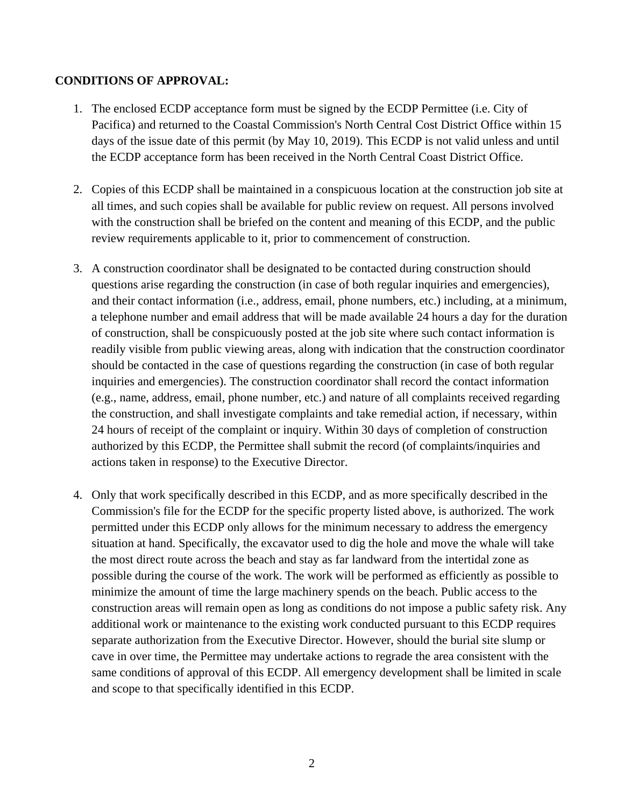### **CONDITIONS OF APPROVAL:**

- 1. The enclosed ECDP acceptance form must be signed by the ECDP Permittee (i.e. City of Pacifica) and returned to the Coastal Commission's North Central Cost District Office within 15 days of the issue date of this permit (by May 10, 2019). This ECDP is not valid unless and until the ECDP acceptance form has been received in the North Central Coast District Office.
- 2. Copies of this ECDP shall be maintained in a conspicuous location at the construction job site at all times, and such copies shall be available for public review on request. All persons involved with the construction shall be briefed on the content and meaning of this ECDP, and the public review requirements applicable to it, prior to commencement of construction.
- 3. A construction coordinator shall be designated to be contacted during construction should questions arise regarding the construction (in case of both regular inquiries and emergencies), and their contact information (i.e., address, email, phone numbers, etc.) including, at a minimum, a telephone number and email address that will be made available 24 hours a day for the duration of construction, shall be conspicuously posted at the job site where such contact information is readily visible from public viewing areas, along with indication that the construction coordinator should be contacted in the case of questions regarding the construction (in case of both regular inquiries and emergencies). The construction coordinator shall record the contact information (e.g., name, address, email, phone number, etc.) and nature of all complaints received regarding the construction, and shall investigate complaints and take remedial action, if necessary, within 24 hours of receipt of the complaint or inquiry. Within 30 days of completion of construction authorized by this ECDP, the Permittee shall submit the record (of complaints/inquiries and actions taken in response) to the Executive Director.
- 4. Only that work specifically described in this ECDP, and as more specifically described in the Commission's file for the ECDP for the specific property listed above, is authorized. The work permitted under this ECDP only allows for the minimum necessary to address the emergency situation at hand. Specifically, the excavator used to dig the hole and move the whale will take the most direct route across the beach and stay as far landward from the intertidal zone as possible during the course of the work. The work will be performed as efficiently as possible to minimize the amount of time the large machinery spends on the beach. Public access to the construction areas will remain open as long as conditions do not impose a public safety risk. Any additional work or maintenance to the existing work conducted pursuant to this ECDP requires separate authorization from the Executive Director. However, should the burial site slump or cave in over time, the Permittee may undertake actions to regrade the area consistent with the same conditions of approval of this ECDP. All emergency development shall be limited in scale and scope to that specifically identified in this ECDP.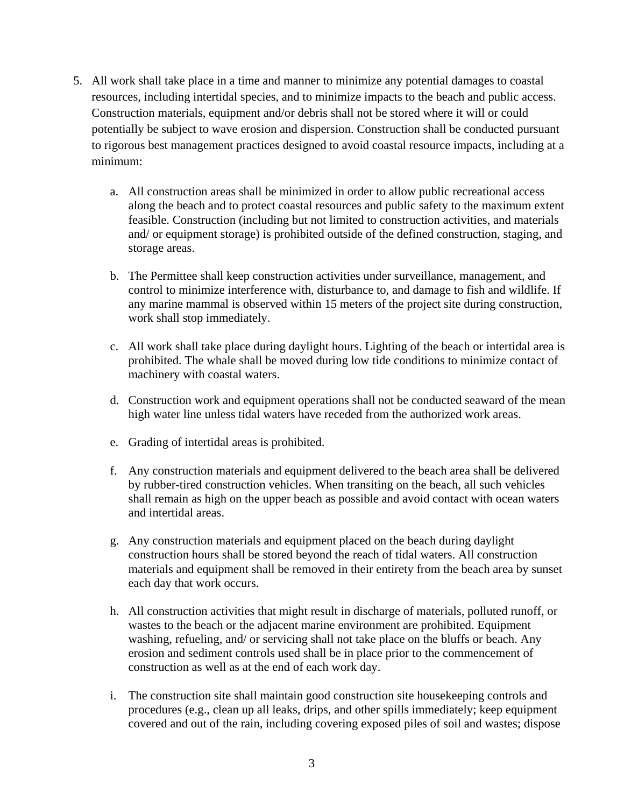- 5. All work shall take place in a time and manner to minimize any potential damages to coastal resources, including intertidal species, and to minimize impacts to the beach and public access. Construction materials, equipment and/or debris shall not be stored where it will or could potentially be subject to wave erosion and dispersion. Construction shall be conducted pursuant to rigorous best management practices designed to avoid coastal resource impacts, including at a minimum:
	- a. All construction areas shall be minimized in order to allow public recreational access along the beach and to protect coastal resources and public safety to the maximum extent feasible. Construction (including but not limited to construction activities, and materials and/ or equipment storage) is prohibited outside of the defined construction, staging, and storage areas.
	- b. The Permittee shall keep construction activities under surveillance, management, and control to minimize interference with, disturbance to, and damage to fish and wildlife. If any marine mammal is observed within 15 meters of the project site during construction, work shall stop immediately.
	- c. All work shall take place during daylight hours. Lighting of the beach or intertidal area is prohibited. The whale shall be moved during low tide conditions to minimize contact of machinery with coastal waters.
	- d. Construction work and equipment operations shall not be conducted seaward of the mean high water line unless tidal waters have receded from the authorized work areas.
	- e. Grading of intertidal areas is prohibited.
	- f. Any construction materials and equipment delivered to the beach area shall be delivered by rubber-tired construction vehicles. When transiting on the beach, all such vehicles shall remain as high on the upper beach as possible and avoid contact with ocean waters and intertidal areas.
	- g. Any construction materials and equipment placed on the beach during daylight construction hours shall be stored beyond the reach of tidal waters. All construction materials and equipment shall be removed in their entirety from the beach area by sunset each day that work occurs.
	- h. All construction activities that might result in discharge of materials, polluted runoff, or wastes to the beach or the adjacent marine environment are prohibited. Equipment washing, refueling, and/ or servicing shall not take place on the bluffs or beach. Any erosion and sediment controls used shall be in place prior to the commencement of construction as well as at the end of each work day.
	- i. The construction site shall maintain good construction site housekeeping controls and procedures (e.g., clean up all leaks, drips, and other spills immediately; keep equipment covered and out of the rain, including covering exposed piles of soil and wastes; dispose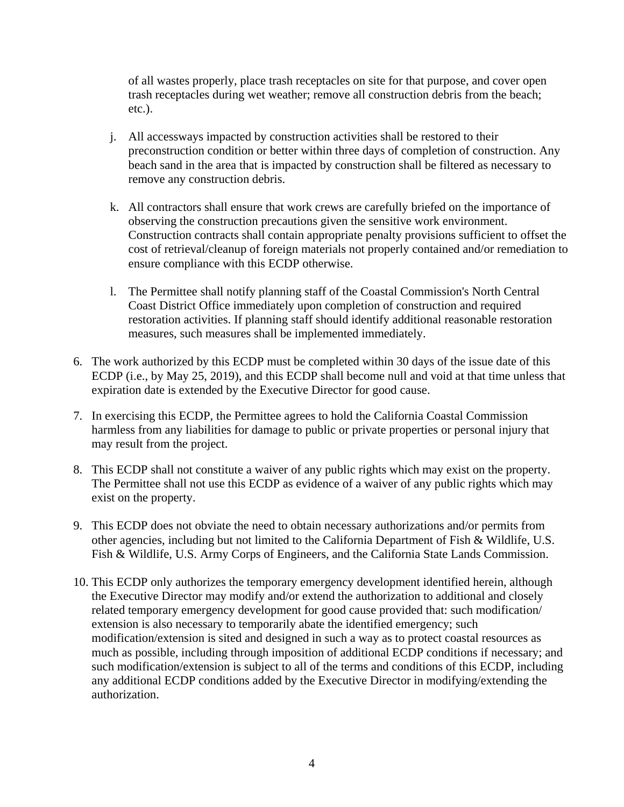of all wastes properly, place trash receptacles on site for that purpose, and cover open trash receptacles during wet weather; remove all construction debris from the beach; etc.).

- j. All accessways impacted by construction activities shall be restored to their preconstruction condition or better within three days of completion of construction. Any beach sand in the area that is impacted by construction shall be filtered as necessary to remove any construction debris.
- k. All contractors shall ensure that work crews are carefully briefed on the importance of observing the construction precautions given the sensitive work environment. Construction contracts shall contain appropriate penalty provisions sufficient to offset the cost of retrieval/cleanup of foreign materials not properly contained and/or remediation to ensure compliance with this ECDP otherwise.
- l. The Permittee shall notify planning staff of the Coastal Commission's North Central Coast District Office immediately upon completion of construction and required restoration activities. If planning staff should identify additional reasonable restoration measures, such measures shall be implemented immediately.
- 6. The work authorized by this ECDP must be completed within 30 days of the issue date of this ECDP (i.e., by May 25, 2019), and this ECDP shall become null and void at that time unless that expiration date is extended by the Executive Director for good cause.
- 7. In exercising this ECDP, the Permittee agrees to hold the California Coastal Commission harmless from any liabilities for damage to public or private properties or personal injury that may result from the project.
- 8. This ECDP shall not constitute a waiver of any public rights which may exist on the property. The Permittee shall not use this ECDP as evidence of a waiver of any public rights which may exist on the property.
- 9. This ECDP does not obviate the need to obtain necessary authorizations and/or permits from other agencies, including but not limited to the California Department of Fish & Wildlife, U.S. Fish & Wildlife, U.S. Army Corps of Engineers, and the California State Lands Commission.
- 10. This ECDP only authorizes the temporary emergency development identified herein, although the Executive Director may modify and/or extend the authorization to additional and closely related temporary emergency development for good cause provided that: such modification/ extension is also necessary to temporarily abate the identified emergency; such modification/extension is sited and designed in such a way as to protect coastal resources as much as possible, including through imposition of additional ECDP conditions if necessary; and such modification/extension is subject to all of the terms and conditions of this ECDP, including any additional ECDP conditions added by the Executive Director in modifying/extending the authorization.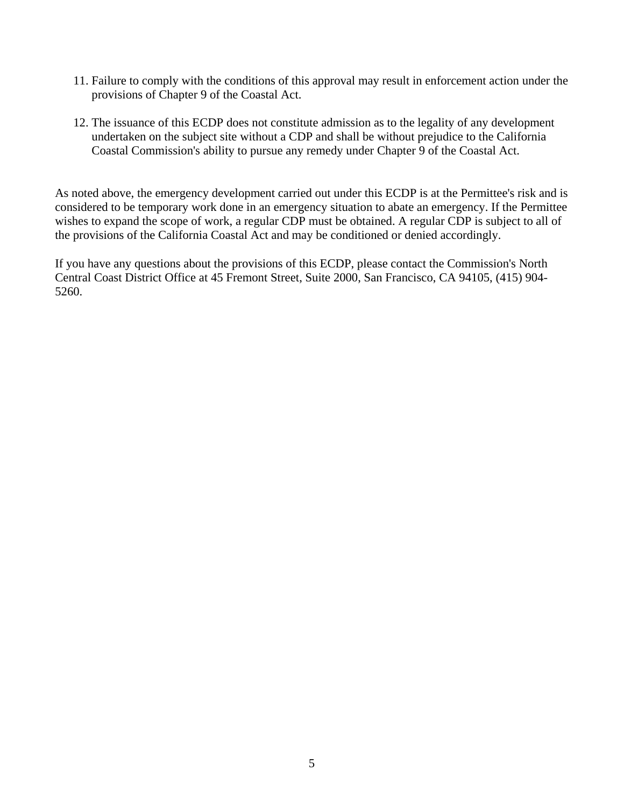- 11. Failure to comply with the conditions of this approval may result in enforcement action under the provisions of Chapter 9 of the Coastal Act.
- 12. The issuance of this ECDP does not constitute admission as to the legality of any development undertaken on the subject site without a CDP and shall be without prejudice to the California Coastal Commission's ability to pursue any remedy under Chapter 9 of the Coastal Act.

As noted above, the emergency development carried out under this ECDP is at the Permittee's risk and is considered to be temporary work done in an emergency situation to abate an emergency. If the Permittee wishes to expand the scope of work, a regular CDP must be obtained. A regular CDP is subject to all of the provisions of the California Coastal Act and may be conditioned or denied accordingly.

If you have any questions about the provisions of this ECDP, please contact the Commission's North Central Coast District Office at 45 Fremont Street, Suite 2000, San Francisco, CA 94105, (415) 904- 5260.